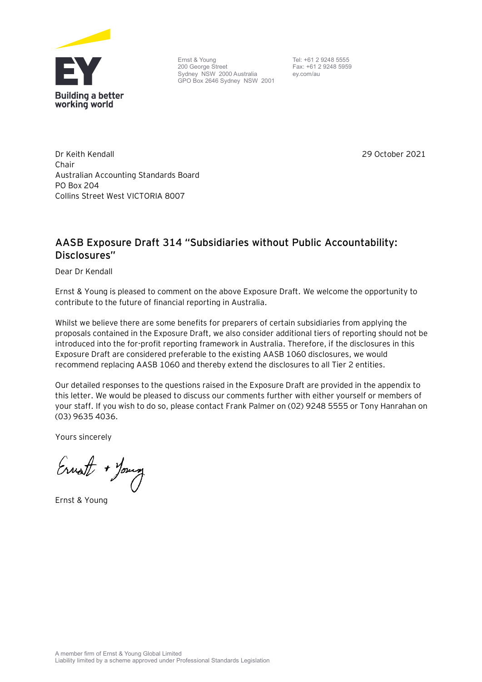

Ernst & Young 200 George Street Sydney NSW 2000 Australia GPO Box 2646 Sydney NSW 2001

Tel: +61 2 9248 5555 Fax: +61 2 9248 5959 ey.com/au

Dr Keith Kendall Chair Australian Accounting Standards Board PO Box 204 Collins Street West VICTORIA 8007

29 October 2021

# **AASB Exposure Draft 314 "Subsidiaries without Public Accountability: Disclosures"**

Dear Dr Kendall

Ernst & Young is pleased to comment on the above Exposure Draft. We welcome the opportunity to contribute to the future of financial reporting in Australia.

Whilst we believe there are some benefits for preparers of certain subsidiaries from applying the proposals contained in the Exposure Draft, we also consider additional tiers of reporting should not be introduced into the for-profit reporting framework in Australia. Therefore, if the disclosures in this Exposure Draft are considered preferable to the existing AASB 1060 disclosures, we would recommend replacing AASB 1060 and thereby extend the disclosures to all Tier 2 entities.

Our detailed responses to the questions raised in the Exposure Draft are provided in the appendix to this letter. We would be pleased to discuss our comments further with either yourself or members of your staff. If you wish to do so, please contact Frank Palmer on (02) 9248 5555 or Tony Hanrahan on (03) 9635 4036.

Yours sincerely

Ernot + Young

Ernst & Young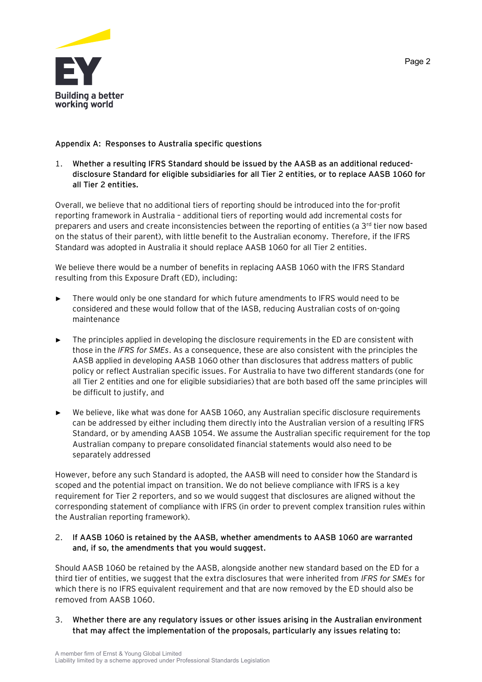

# **Appendix A: Responses to Australia specific questions**

1. **Whether a resulting IFRS Standard should be issued by the AASB as an additional reduceddisclosure Standard for eligible subsidiaries for all Tier 2 entities, or to replace AASB 1060 for all Tier 2 entities.**

Overall, we believe that no additional tiers of reporting should be introduced into the for-profit reporting framework in Australia – additional tiers of reporting would add incremental costs for preparers and users and create inconsistencies between the reporting of entities (a 3rd tier now based on the status of their parent), with little benefit to the Australian economy. Therefore, if the IFRS Standard was adopted in Australia it should replace AASB 1060 for all Tier 2 entities.

We believe there would be a number of benefits in replacing AASB 1060 with the IFRS Standard resulting from this Exposure Draft (ED), including:

- There would only be one standard for which future amendments to IFRS would need to be considered and these would follow that of the IASB, reducing Australian costs of on-going maintenance
- The principles applied in developing the disclosure requirements in the ED are consistent with those in the *IFRS for SMEs*. As a consequence, these are also consistent with the principles the AASB applied in developing AASB 1060 other than disclosures that address matters of public policy or reflect Australian specific issues. For Australia to have two different standards (one for all Tier 2 entities and one for eligible subsidiaries) that are both based off the same principles will be difficult to justify, and
- We believe, like what was done for AASB 1060, any Australian specific disclosure requirements can be addressed by either including them directly into the Australian version of a resulting IFRS Standard, or by amending AASB 1054. We assume the Australian specific requirement for the top Australian company to prepare consolidated financial statements would also need to be separately addressed

However, before any such Standard is adopted, the AASB will need to consider how the Standard is scoped and the potential impact on transition. We do not believe compliance with IFRS is a key requirement for Tier 2 reporters, and so we would suggest that disclosures are aligned without the corresponding statement of compliance with IFRS (in order to prevent complex transition rules within the Australian reporting framework).

## 2. **If AASB 1060 is retained by the AASB, whether amendments to AASB 1060 are warranted and, if so, the amendments that you would suggest.**

Should AASB 1060 be retained by the AASB, alongside another new standard based on the ED for a third tier of entities, we suggest that the extra disclosures that were inherited from *IFRS for SMEs* for which there is no IFRS equivalent requirement and that are now removed by the ED should also be removed from AASB 1060.

3. **Whether there are any regulatory issues or other issues arising in the Australian environment that may affect the implementation of the proposals, particularly any issues relating to:**